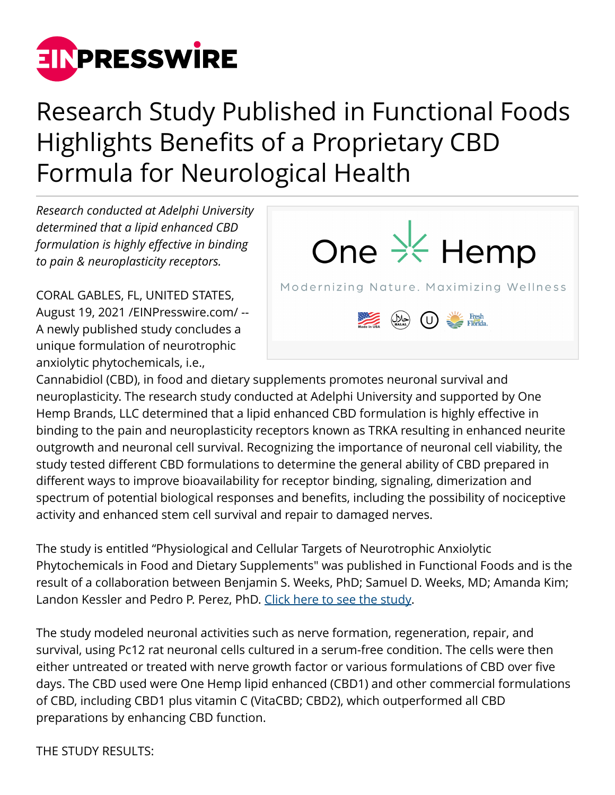

## Research Study Published in Functional Foods Highlights Benefits of a Proprietary CBD Formula for Neurological Health

*Research conducted at Adelphi University determined that a lipid enhanced CBD formulation is highly effective in binding to pain & neuroplasticity receptors.*

CORAL GABLES, FL, UNITED STATES, August 19, 2021 /[EINPresswire.com/](http://www.einpresswire.com) -- A newly published study concludes a unique formulation of neurotrophic anxiolytic phytochemicals, i.e.,



Cannabidiol (CBD), in food and dietary supplements promotes neuronal survival and neuroplasticity. The research study conducted at Adelphi University and supported by One Hemp Brands, LLC determined that a lipid enhanced CBD formulation is highly effective in binding to the pain and neuroplasticity receptors known as TRKA resulting in enhanced neurite outgrowth and neuronal cell survival. Recognizing the importance of neuronal cell viability, the study tested different CBD formulations to determine the general ability of CBD prepared in different ways to improve bioavailability for receptor binding, signaling, dimerization and spectrum of potential biological responses and benefits, including the possibility of nociceptive activity and enhanced stem cell survival and repair to damaged nerves.

The study is entitled "Physiological and Cellular Targets of Neurotrophic Anxiolytic Phytochemicals in Food and Dietary Supplements" was published in Functional Foods and is the result of a collaboration between Benjamin S. Weeks, PhD; Samuel D. Weeks, MD; Amanda Kim; Landon Kessler and Pedro P. Perez, PhD. [Click here to see the study.](http://www.intechopen.com/online-first/physiological-and-cellular-targets-of-neurotrophic-anxiolytic-phytochemicals-in-food-and-dietary-sup)

The study modeled neuronal activities such as nerve formation, regeneration, repair, and survival, using Pc12 rat neuronal cells cultured in a serum-free condition. The cells were then either untreated or treated with nerve growth factor or various formulations of CBD over five days. The CBD used were One Hemp lipid enhanced (CBD1) and other commercial formulations of CBD, including CBD1 plus vitamin C (VitaCBD; CBD2), which outperformed all CBD preparations by enhancing CBD function.

THE STUDY RESULTS: